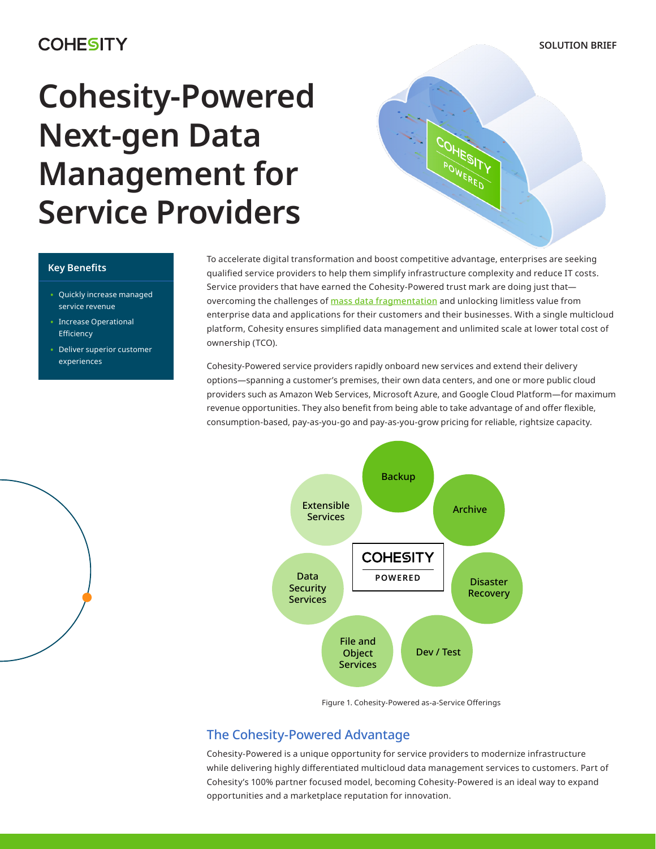# **COHESITY**

**SOLUTION BRIEF**

# **Cohesity-Powered Next-gen Data Management for Service Providers**



## **Key Benefits**

- Quickly increase managed service revenue
- Increase Operational Efficiency
- Deliver superior customer experiences

To accelerate digital transformation and boost competitive advantage, enterprises are seeking qualified service providers to help them simplify infrastructure complexity and reduce IT costs. Service providers that have earned the Cohesity-Powered trust mark are doing just that overcoming the challenges of **[mass data fragmentation](https://www.cohesity.com/what-we-do/mass-data-fragmentation/)** and unlocking limitless value from enterprise data and applications for their customers and their businesses. With a single multicloud platform, Cohesity ensures simplified data management and unlimited scale at lower total cost of ownership (TCO).

Cohesity-Powered service providers rapidly onboard new services and extend their delivery options—spanning a customer's premises, their own data centers, and one or more public cloud providers such as Amazon Web Services, Microsoft Azure, and Google Cloud Platform—for maximum revenue opportunities. They also benefit from being able to take advantage of and offer flexible, consumption-based, pay-as-you-go and pay-as-you-grow pricing for reliable, rightsize capacity.





## The Cohesity-Powered Advantage

Cohesity-Powered is a unique opportunity for service providers to modernize infrastructure while delivering highly differentiated multicloud data management services to customers. Part of Cohesity's 100% partner focused model, becoming Cohesity-Powered is an ideal way to expand opportunities and a marketplace reputation for innovation.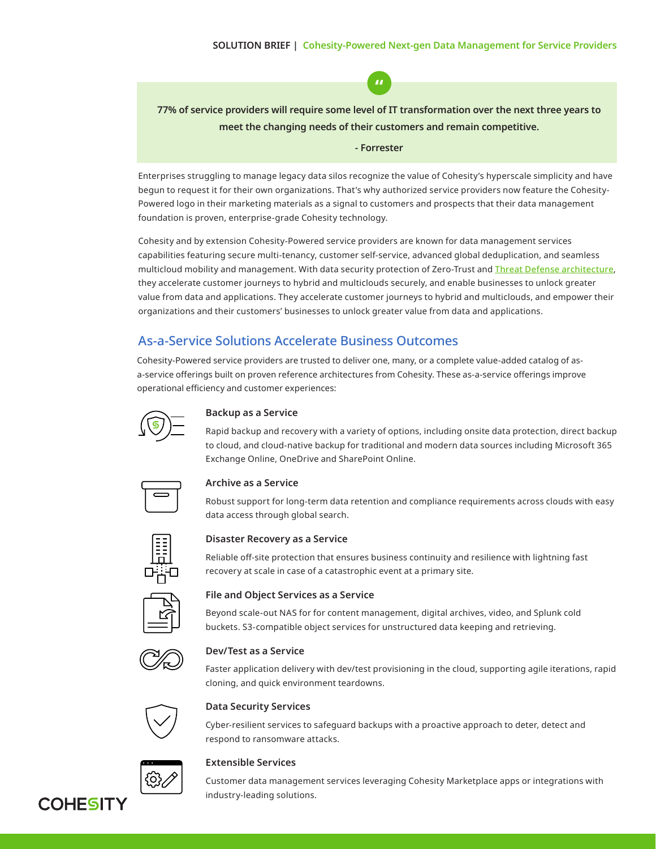**77% of service providers will require some level of IT transformation over the next three years to meet the changing needs of their customers and remain competitive.**

**"**

#### **- Forrester**

Enterprises struggling to manage legacy data silos recognize the value of Cohesity's hyperscale simplicity and have begun to request it for their own organizations. That's why authorized service providers now feature the Cohesity-Powered logo in their marketing materials as a signal to customers and prospects that their data management foundation is proven, enterprise-grade Cohesity technology.

Cohesity and by extension Cohesity-Powered service providers are known for data management services capabilities featuring secure multi-tenancy, customer self-service, advanced global deduplication, and seamless multicloud mobility and management. With data security protection of Zero-Trust and [Threat Defense architectur](https://www.cohesity.com/next-gen-data-management/threat-defense/)e, they accelerate customer journeys to hybrid and multiclouds securely, and enable businesses to unlock greater value from data and applications. They accelerate customer journeys to hybrid and multiclouds, and empower their organizations and their customers' businesses to unlock greater value from data and applications.

# As-a-Service Solutions Accelerate Business Outcomes

Cohesity-Powered service providers are trusted to deliver one, many, or a complete value-added catalog of asa-service offerings built on proven reference architectures from Cohesity. These as-a-service offerings improve operational efficiency and customer experiences:



#### **Backup as a Service**

Rapid backup and recovery with a variety of options, including onsite data protection, direct backup to cloud, and cloud-native backup for traditional and modern data sources including Microsoft 365 Exchange Online, OneDrive and SharePoint Online.



#### **Archive as a Service**

Robust support for long-term data retention and compliance requirements across clouds with easy data access through global search.



**Disaster Recovery as a Service** 

Reliable off-site protection that ensures business continuity and resilience with lightning fast recovery at scale in case of a catastrophic event at a primary site.



#### **File and Object Services as a Service**

Beyond scale-out NAS for for content management, digital archives, video, and Splunk cold buckets. S3-compatible object services for unstructured data keeping and retrieving.



#### **Dev/Test as a Service**

Faster application delivery with dev/test provisioning in the cloud, supporting agile iterations, rapid cloning, and quick environment teardowns.



#### **Data Security Services**

Cyber-resilient services to safeguard backups with a proactive approach to deter, detect and respond to ransomware attacks.



#### **Extensible Services**

Customer data management services leveraging Cohesity Marketplace apps or integrations with industry-leading solutions.